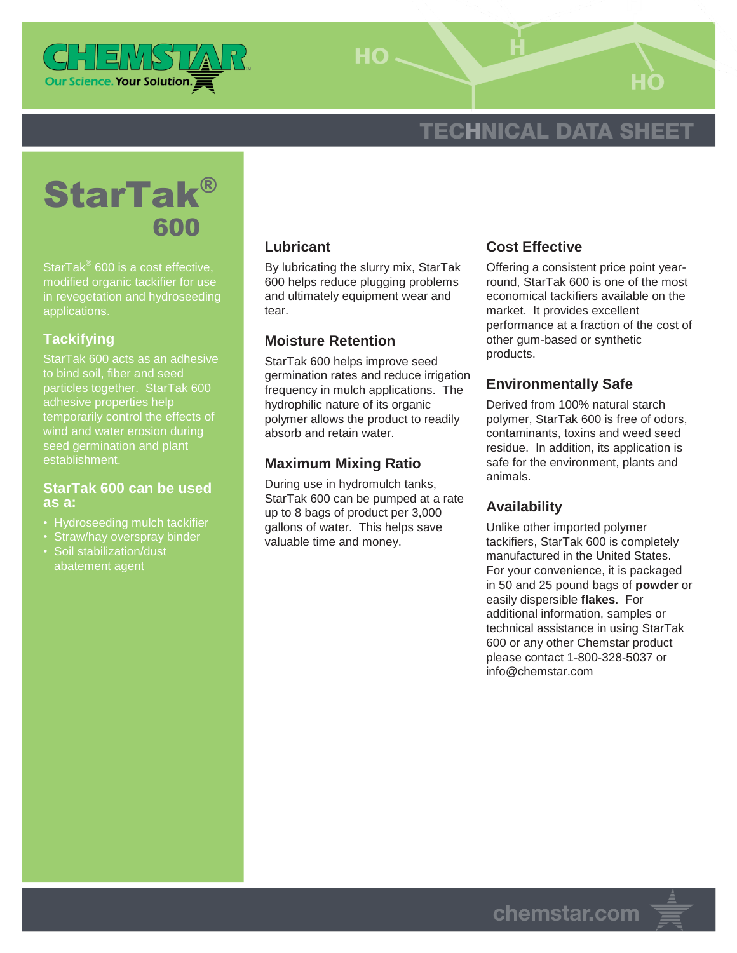

HO-

# **TECHNICAL DATA SHEET**



StarTak® 600 is a cost effective, modified organic tackifier for use in revegetation and hydroseeding applications.

# **Tackifying**

StarTak 600 acts as an adhesive to bind soil, fiber and seed particles together. StarTak 600 adhesive properties help temporarily control the effects of wind and water erosion during seed germination and plant establishment.

#### **StarTak 600 can be used as a:**

- Hydroseeding mulch tackifier
- Straw/hay overspray binder
- Soil stabilization/dust abatement agent

## **Lubricant**

By lubricating the slurry mix, StarTak 600 helps reduce plugging problems and ultimately equipment wear and tear.

## **Moisture Retention**

StarTak 600 helps improve seed germination rates and reduce irrigation frequency in mulch applications. The hydrophilic nature of its organic polymer allows the product to readily absorb and retain water.

# **Maximum Mixing Ratio**

During use in hydromulch tanks, StarTak 600 can be pumped at a rate up to 8 bags of product per 3,000 gallons of water. This helps save valuable time and money.

# **Cost Effective**

Offering a consistent price point yearround, StarTak 600 is one of the most economical tackifiers available on the market. It provides excellent performance at a fraction of the cost of other gum-based or synthetic products.

# **Environmentally Safe**

Derived from 100% natural starch polymer, StarTak 600 is free of odors, contaminants, toxins and weed seed residue. In addition, its application is safe for the environment, plants and animals.

# **Availability**

Unlike other imported polymer tackifiers, StarTak 600 is completely manufactured in the United States. For your convenience, it is packaged in 50 and 25 pound bags of **powder** or easily dispersible **flakes**. For additional information, samples or technical assistance in using StarTak 600 or any other Chemstar product please contact 1-800-328-5037 or info@chemstar.com